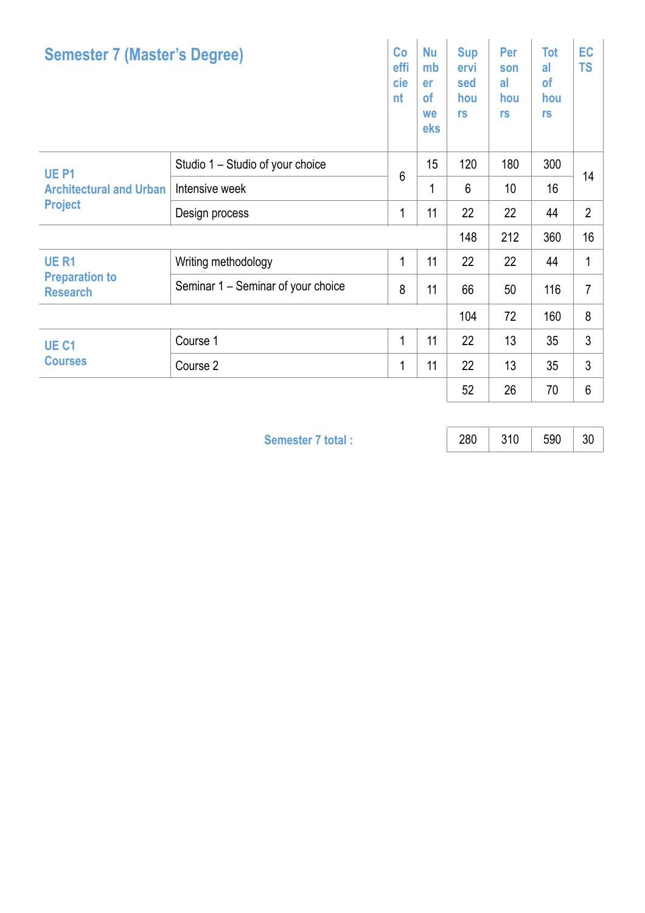| <b>Semester 7 (Master's Degree)</b>                                  |                                    | Co<br>effi<br>cie<br>nt | <b>Nu</b><br>mb<br>er<br><b>of</b><br>we<br>eks | <b>Sup</b><br>ervi<br>sed<br>hou<br>rs | Per<br>son<br>al<br>hou<br>rs | <b>Tot</b><br>al<br>of<br>hou<br>rs | EC<br><b>TS</b> |
|----------------------------------------------------------------------|------------------------------------|-------------------------|-------------------------------------------------|----------------------------------------|-------------------------------|-------------------------------------|-----------------|
| UE <sub>P1</sub><br><b>Architectural and Urban</b><br><b>Project</b> | Studio 1 – Studio of your choice   | $6\phantom{1}$          | 15                                              | 120                                    | 180                           | 300                                 | 14              |
|                                                                      | Intensive week                     |                         | 1                                               | $6\phantom{1}6$                        | 10                            | 16                                  |                 |
|                                                                      | Design process                     | 1                       | 11                                              | 22                                     | 22                            | 44                                  | $\overline{2}$  |
|                                                                      |                                    |                         |                                                 | 148                                    | 212                           | 360                                 | 16              |
| <b>UER1</b><br><b>Preparation to</b><br><b>Research</b>              | Writing methodology                | 1                       | 11                                              | 22                                     | 22                            | 44                                  | 1               |
|                                                                      | Seminar 1 – Seminar of your choice | 8                       | 11                                              | 66                                     | 50                            | 116                                 | 7               |
|                                                                      |                                    |                         |                                                 | 104                                    | 72                            | 160                                 | 8               |
| UE <sub>C1</sub><br><b>Courses</b>                                   | Course 1                           | 1                       | 11                                              | 22                                     | 13                            | 35                                  | 3               |
|                                                                      | Course 2                           | 1                       | 11                                              | 22                                     | 13                            | 35                                  | 3               |
|                                                                      |                                    |                         |                                                 | 52                                     | 26                            | 70                                  | 6               |

**Semester 7 total :** 280 310 590 30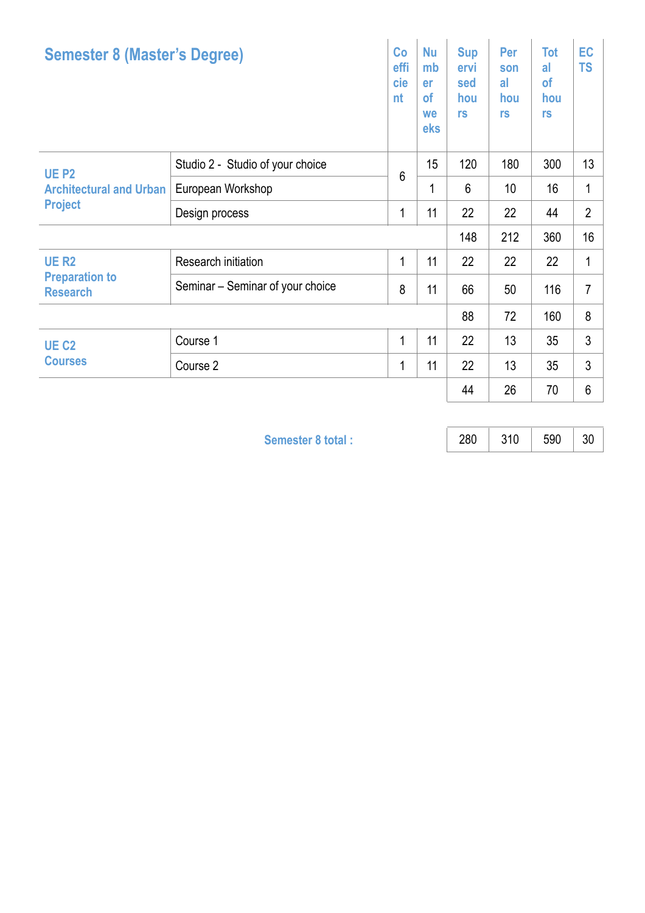| <b>Semester 8 (Master's Degree)</b>                              |                                  | Co<br>effi<br>cie<br>nt | <b>Nu</b><br>mb<br>er<br>of<br>we<br>eks | <b>Sup</b><br>ervi<br>sed<br>hou<br>rs | Per<br>son<br>al<br>hou<br>rs | <b>Tot</b><br>al<br>of<br>hou<br>rs | EC<br><b>TS</b> |
|------------------------------------------------------------------|----------------------------------|-------------------------|------------------------------------------|----------------------------------------|-------------------------------|-------------------------------------|-----------------|
| <b>UE P2</b><br><b>Architectural and Urban</b><br><b>Project</b> | Studio 2 - Studio of your choice | 6                       | 15                                       | 120                                    | 180                           | 300                                 | 13              |
|                                                                  | European Workshop                |                         | 1                                        | $6\phantom{1}$                         | 10 <sup>1</sup>               | 16                                  | 1               |
|                                                                  | Design process                   | 1                       | 11                                       | 22                                     | 22                            | 44                                  | $\overline{2}$  |
|                                                                  |                                  |                         |                                          | 148                                    | 212                           | 360                                 | 16              |
| <b>UE R2</b><br><b>Preparation to</b><br><b>Research</b>         | Research initiation              | 1                       | 11                                       | 22                                     | 22                            | 22                                  | 1               |
|                                                                  | Seminar - Seminar of your choice | 8                       | 11                                       | 66                                     | 50                            | 116                                 | $\overline{7}$  |
|                                                                  |                                  |                         |                                          | 88                                     | 72                            | 160                                 | 8               |
| UE <sub>C2</sub><br><b>Courses</b>                               | Course 1                         | 1                       | 11                                       | 22                                     | 13                            | 35                                  | 3               |
|                                                                  | Course 2                         | 1                       | 11                                       | 22                                     | 13                            | 35                                  | 3               |
|                                                                  |                                  |                         |                                          | 44                                     | 26                            | 70                                  | 6               |

**Semester 8 total :** 280 310 590 30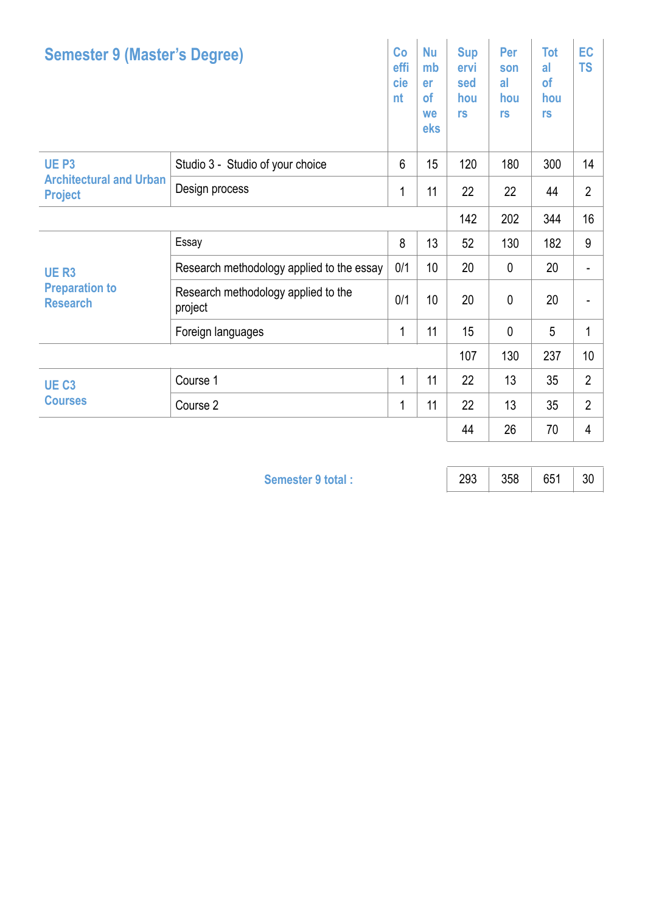| <b>Semester 9 (Master's Degree)</b>                                  |                                                | Co<br>effi<br>cie<br>nt | <b>Nu</b><br>mb<br>er<br>of<br>we<br>eks | <b>Sup</b><br>ervi<br>sed<br>hou<br>rs | Per<br>son<br>al<br>hou<br>rs | <b>Tot</b><br>al<br><b>of</b><br>hou<br>rs | EC<br><b>TS</b> |
|----------------------------------------------------------------------|------------------------------------------------|-------------------------|------------------------------------------|----------------------------------------|-------------------------------|--------------------------------------------|-----------------|
| UE <sub>P3</sub><br><b>Architectural and Urban</b><br><b>Project</b> | Studio 3 - Studio of your choice               | $6\phantom{1}$          | 15 <sub>15</sub>                         | 120                                    | 180                           | 300                                        | 14              |
|                                                                      | Design process                                 | 1                       | 11                                       | 22                                     | 22                            | 44                                         | $\overline{2}$  |
|                                                                      |                                                |                         |                                          |                                        | 202                           | 344                                        | 16              |
| <b>UER3</b><br><b>Preparation to</b><br><b>Research</b>              | Essay                                          | 8                       | 13                                       | 52                                     | 130                           | 182                                        | 9               |
|                                                                      | Research methodology applied to the essay      | 0/1                     | 10 <sup>1</sup>                          | 20                                     | 0                             | 20                                         | ۰               |
|                                                                      | Research methodology applied to the<br>project | 0/1                     | 10 <sup>1</sup>                          | 20                                     | $\mathbf{0}$                  | 20                                         |                 |
|                                                                      | Foreign languages                              | 1                       | 11                                       | 15                                     | $\mathbf{0}$                  | 5                                          | 1               |
|                                                                      |                                                |                         |                                          | 107                                    | 130                           | 237                                        | 10              |
| UE <sub>C3</sub><br><b>Courses</b>                                   | Course 1                                       | $\mathbf{1}$            | 11                                       | 22                                     | 13                            | 35                                         | $\overline{2}$  |
|                                                                      | Course 2                                       | 1                       | 11                                       | 22                                     | 13                            | 35                                         | $\overline{2}$  |
|                                                                      |                                                |                         |                                          | 44                                     | 26                            | 70                                         | 4               |

**Semester 9 total :** 293 358 651 30